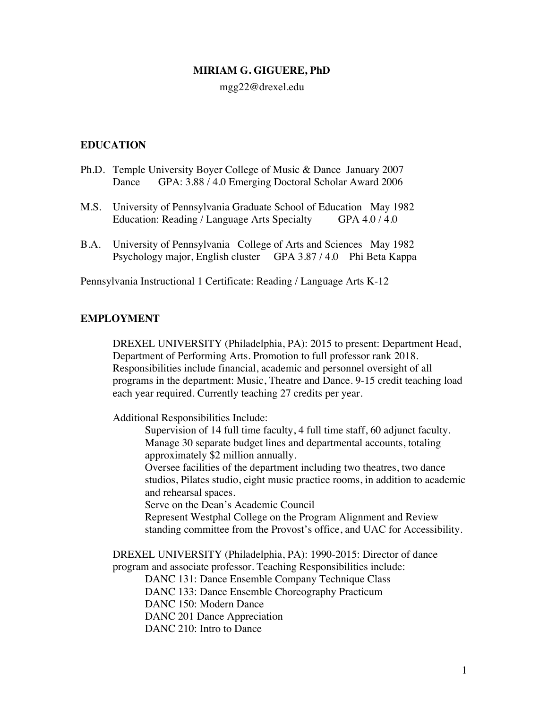## **MIRIAM G. GIGUERE, PhD**

### mgg22@drexel.edu

# **EDUCATION**

- Ph.D. Temple University Boyer College of Music & Dance January 2007 Dance GPA: 3.88 / 4.0 Emerging Doctoral Scholar Award 2006
- M.S. University of Pennsylvania Graduate School of Education May 1982 Education: Reading / Language Arts Specialty GPA 4.0 / 4.0
- B.A. University of Pennsylvania College of Arts and Sciences May 1982 Psychology major, English cluster GPA 3.87 / 4.0 Phi Beta Kappa

Pennsylvania Instructional 1 Certificate: Reading / Language Arts K-12

### **EMPLOYMENT**

DREXEL UNIVERSITY (Philadelphia, PA): 2015 to present: Department Head, Department of Performing Arts. Promotion to full professor rank 2018. Responsibilities include financial, academic and personnel oversight of all programs in the department: Music, Theatre and Dance. 9-15 credit teaching load each year required. Currently teaching 27 credits per year.

Additional Responsibilities Include:

Supervision of 14 full time faculty, 4 full time staff, 60 adjunct faculty. Manage 30 separate budget lines and departmental accounts, totaling approximately \$2 million annually.

Oversee facilities of the department including two theatres, two dance studios, Pilates studio, eight music practice rooms, in addition to academic and rehearsal spaces.

Serve on the Dean's Academic Council

Represent Westphal College on the Program Alignment and Review standing committee from the Provost's office, and UAC for Accessibility.

DREXEL UNIVERSITY (Philadelphia, PA): 1990-2015: Director of dance program and associate professor. Teaching Responsibilities include:

DANC 131: Dance Ensemble Company Technique Class DANC 133: Dance Ensemble Choreography Practicum DANC 150: Modern Dance DANC 201 Dance Appreciation DANC 210: Intro to Dance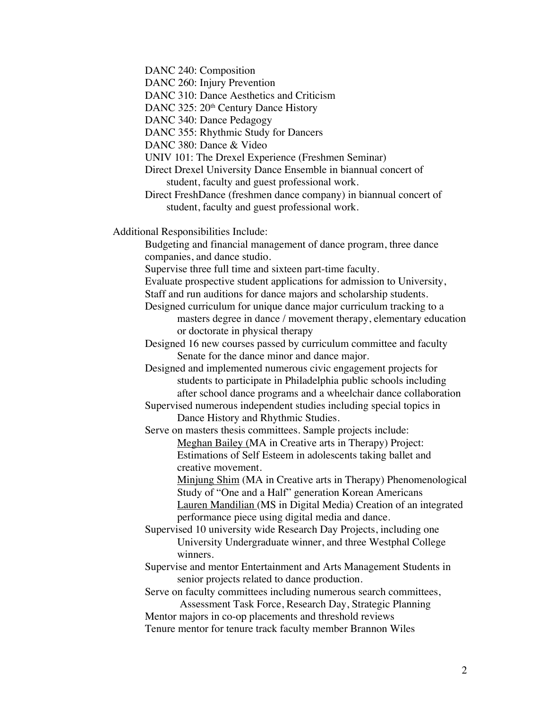DANC 240: Composition

DANC 260: Injury Prevention

DANC 310: Dance Aesthetics and Criticism

DANC 325: 20<sup>th</sup> Century Dance History

DANC 340: Dance Pedagogy

DANC 355: Rhythmic Study for Dancers

DANC 380: Dance & Video

UNIV 101: The Drexel Experience (Freshmen Seminar)

Direct Drexel University Dance Ensemble in biannual concert of student, faculty and guest professional work.

Direct FreshDance (freshmen dance company) in biannual concert of student, faculty and guest professional work.

Additional Responsibilities Include:

Budgeting and financial management of dance program, three dance companies, and dance studio.

Supervise three full time and sixteen part-time faculty.

Evaluate prospective student applications for admission to University,

Staff and run auditions for dance majors and scholarship students.

Designed curriculum for unique dance major curriculum tracking to a masters degree in dance / movement therapy, elementary education or doctorate in physical therapy

Designed 16 new courses passed by curriculum committee and faculty Senate for the dance minor and dance major.

Designed and implemented numerous civic engagement projects for students to participate in Philadelphia public schools including after school dance programs and a wheelchair dance collaboration

Supervised numerous independent studies including special topics in Dance History and Rhythmic Studies.

Serve on masters thesis committees. Sample projects include: Meghan Bailey (MA in Creative arts in Therapy) Project: Estimations of Self Esteem in adolescents taking ballet and creative movement.

> Minjung Shim (MA in Creative arts in Therapy) Phenomenological Study of "One and a Half" generation Korean Americans Lauren Mandilian (MS in Digital Media) Creation of an integrated performance piece using digital media and dance.

Supervised 10 university wide Research Day Projects, including one University Undergraduate winner, and three Westphal College winners.

Supervise and mentor Entertainment and Arts Management Students in senior projects related to dance production.

Serve on faculty committees including numerous search committees, Assessment Task Force, Research Day, Strategic Planning

Mentor majors in co-op placements and threshold reviews

Tenure mentor for tenure track faculty member Brannon Wiles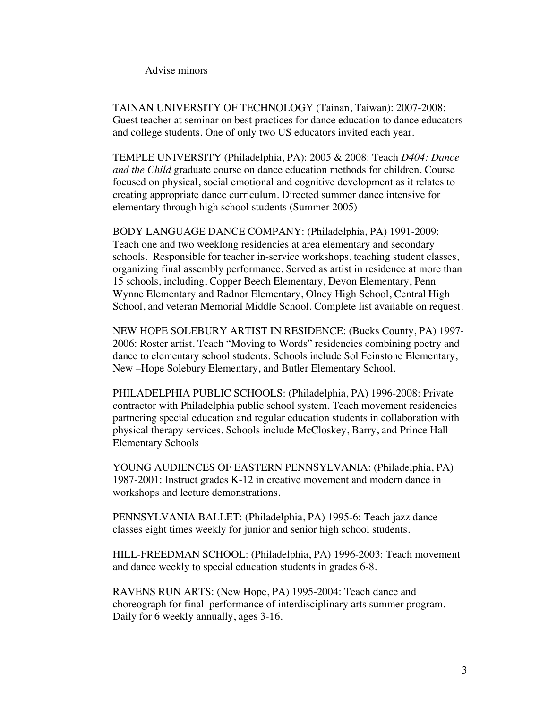Advise minors

TAINAN UNIVERSITY OF TECHNOLOGY (Tainan, Taiwan): 2007-2008: Guest teacher at seminar on best practices for dance education to dance educators and college students. One of only two US educators invited each year.

TEMPLE UNIVERSITY (Philadelphia, PA): 2005 & 2008: Teach *D404: Dance and the Child* graduate course on dance education methods for children. Course focused on physical, social emotional and cognitive development as it relates to creating appropriate dance curriculum. Directed summer dance intensive for elementary through high school students (Summer 2005)

BODY LANGUAGE DANCE COMPANY: (Philadelphia, PA) 1991-2009: Teach one and two weeklong residencies at area elementary and secondary schools. Responsible for teacher in-service workshops, teaching student classes, organizing final assembly performance. Served as artist in residence at more than 15 schools, including, Copper Beech Elementary, Devon Elementary, Penn Wynne Elementary and Radnor Elementary, Olney High School, Central High School, and veteran Memorial Middle School. Complete list available on request.

NEW HOPE SOLEBURY ARTIST IN RESIDENCE: (Bucks County, PA) 1997- 2006: Roster artist. Teach "Moving to Words" residencies combining poetry and dance to elementary school students. Schools include Sol Feinstone Elementary, New –Hope Solebury Elementary, and Butler Elementary School.

PHILADELPHIA PUBLIC SCHOOLS: (Philadelphia, PA) 1996-2008: Private contractor with Philadelphia public school system. Teach movement residencies partnering special education and regular education students in collaboration with physical therapy services. Schools include McCloskey, Barry, and Prince Hall Elementary Schools

YOUNG AUDIENCES OF EASTERN PENNSYLVANIA: (Philadelphia, PA) 1987-2001: Instruct grades K-12 in creative movement and modern dance in workshops and lecture demonstrations.

PENNSYLVANIA BALLET: (Philadelphia, PA) 1995-6: Teach jazz dance classes eight times weekly for junior and senior high school students.

HILL-FREEDMAN SCHOOL: (Philadelphia, PA) 1996-2003: Teach movement and dance weekly to special education students in grades 6-8.

RAVENS RUN ARTS: (New Hope, PA) 1995-2004: Teach dance and choreograph for final performance of interdisciplinary arts summer program. Daily for 6 weekly annually, ages 3-16.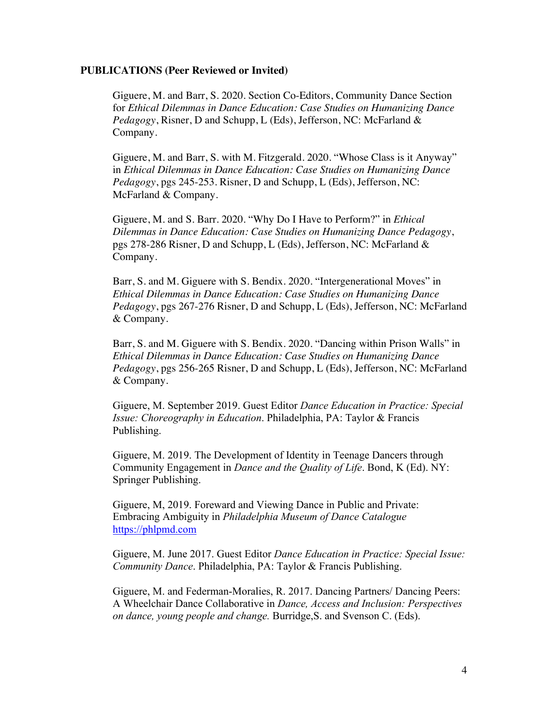### **PUBLICATIONS (Peer Reviewed or Invited)**

Giguere, M. and Barr, S. 2020. Section Co-Editors, Community Dance Section for *Ethical Dilemmas in Dance Education: Case Studies on Humanizing Dance Pedagogy*, Risner, D and Schupp, L (Eds), Jefferson, NC: McFarland & Company.

Giguere, M. and Barr, S. with M. Fitzgerald. 2020. "Whose Class is it Anyway" in *Ethical Dilemmas in Dance Education: Case Studies on Humanizing Dance Pedagogy*, pgs 245-253. Risner, D and Schupp, L (Eds), Jefferson, NC: McFarland & Company.

Giguere, M. and S. Barr. 2020. "Why Do I Have to Perform?" in *Ethical Dilemmas in Dance Education: Case Studies on Humanizing Dance Pedagogy*, pgs 278-286 Risner, D and Schupp, L (Eds), Jefferson, NC: McFarland & Company.

Barr, S. and M. Giguere with S. Bendix. 2020. "Intergenerational Moves" in *Ethical Dilemmas in Dance Education: Case Studies on Humanizing Dance Pedagogy*, pgs 267-276 Risner, D and Schupp, L (Eds), Jefferson, NC: McFarland & Company.

Barr, S. and M. Giguere with S. Bendix. 2020. "Dancing within Prison Walls" in *Ethical Dilemmas in Dance Education: Case Studies on Humanizing Dance Pedagogy*, pgs 256-265 Risner, D and Schupp, L (Eds), Jefferson, NC: McFarland & Company.

Giguere, M. September 2019. Guest Editor *Dance Education in Practice: Special Issue: Choreography in Education*. Philadelphia, PA: Taylor & Francis Publishing.

Giguere, M. 2019. The Development of Identity in Teenage Dancers through Community Engagement in *Dance and the Quality of Life*. Bond, K (Ed). NY: Springer Publishing.

Giguere, M, 2019. Foreward and Viewing Dance in Public and Private: Embracing Ambiguity in *Philadelphia Museum of Dance Catalogue* https://phlpmd.com

Giguere, M. June 2017. Guest Editor *Dance Education in Practice: Special Issue: Community Dance*. Philadelphia, PA: Taylor & Francis Publishing.

Giguere, M. and Federman-Moralies, R. 2017. Dancing Partners/ Dancing Peers: A Wheelchair Dance Collaborative in *Dance, Access and Inclusion: Perspectives on dance, young people and change.* Burridge,S. and Svenson C. (Eds).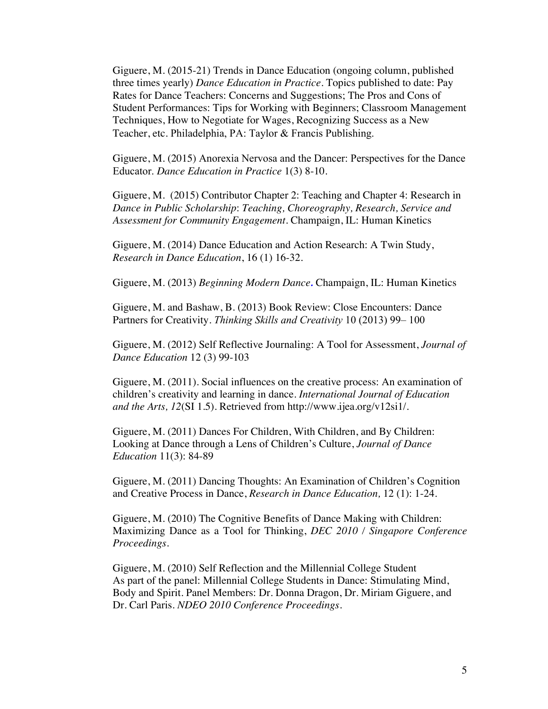Giguere, M. (2015-21) Trends in Dance Education (ongoing column, published three times yearly) *Dance Education in Practice*. Topics published to date: Pay Rates for Dance Teachers: Concerns and Suggestions; The Pros and Cons of Student Performances: Tips for Working with Beginners; Classroom Management Techniques, How to Negotiate for Wages, Recognizing Success as a New Teacher, etc. Philadelphia, PA: Taylor & Francis Publishing.

Giguere, M. (2015) Anorexia Nervosa and the Dancer: Perspectives for the Dance Educator. *Dance Education in Practice* 1(3) 8-10.

Giguere, M. (2015) Contributor Chapter 2: Teaching and Chapter 4: Research in *Dance in Public Scholarship*: *Teaching, Choreography, Research, Service and Assessment for Community Engagement.* Champaign, IL: Human Kinetics

Giguere, M. (2014) Dance Education and Action Research: A Twin Study, *Research in Dance Education*, 16 (1) 16-32.

Giguere, M. (2013) *Beginning Modern Dance.* Champaign, IL: Human Kinetics

Giguere, M. and Bashaw, B. (2013) Book Review: Close Encounters: Dance Partners for Creativity. *Thinking Skills and Creativity* 10 (2013) 99– 100

Giguere, M. (2012) Self Reflective Journaling: A Tool for Assessment, *Journal of Dance Education* 12 (3) 99-103

Giguere, M. (2011). Social influences on the creative process: An examination of children's creativity and learning in dance. *International Journal of Education and the Arts, 12*(SI 1.5). Retrieved from http://www.ijea.org/v12si1/.

Giguere, M. (2011) Dances For Children, With Children, and By Children: Looking at Dance through a Lens of Children's Culture, *Journal of Dance Education* 11(3): 84-89

Giguere, M. (2011) Dancing Thoughts: An Examination of Children's Cognition and Creative Process in Dance, *Research in Dance Education,* 12 (1): 1-24.

Giguere, M. (2010) The Cognitive Benefits of Dance Making with Children: Maximizing Dance as a Tool for Thinking, *DEC 2010 / Singapore Conference Proceedings.*

Giguere, M. (2010) Self Reflection and the Millennial College Student As part of the panel: Millennial College Students in Dance: Stimulating Mind, Body and Spirit. Panel Members: Dr. Donna Dragon, Dr. Miriam Giguere, and Dr. Carl Paris. *NDEO 2010 Conference Proceedings*.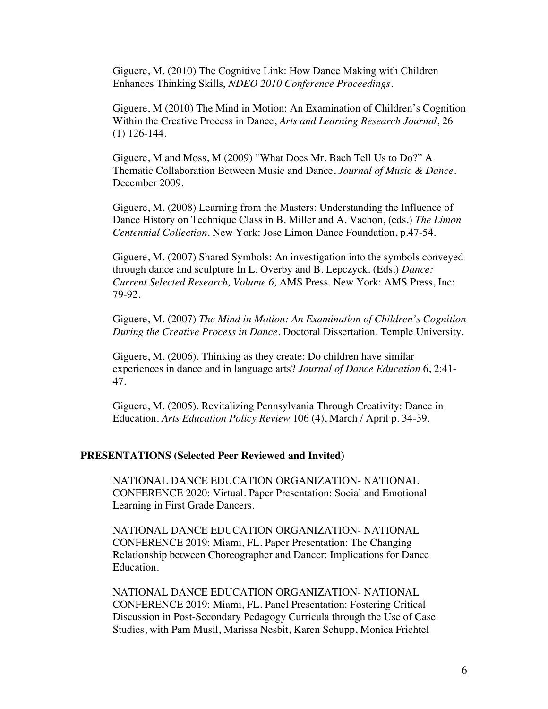Giguere, M. (2010) The Cognitive Link: How Dance Making with Children Enhances Thinking Skills, *NDEO 2010 Conference Proceedings*.

Giguere, M (2010) The Mind in Motion: An Examination of Children's Cognition Within the Creative Process in Dance, *Arts and Learning Research Journal*, 26 (1) 126-144.

Giguere, M and Moss, M (2009) "What Does Mr. Bach Tell Us to Do?" A Thematic Collaboration Between Music and Dance, *Journal of Music & Dance*. December 2009.

Giguere, M. (2008) Learning from the Masters: Understanding the Influence of Dance History on Technique Class in B. Miller and A. Vachon, (eds.) *The Limon Centennial Collection.* New York: Jose Limon Dance Foundation, p.47-54.

Giguere, M. (2007) Shared Symbols: An investigation into the symbols conveyed through dance and sculpture In L. Overby and B. Lepczyck. (Eds.) *Dance: Current Selected Research, Volume 6,* AMS Press. New York: AMS Press, Inc: 79-92.

Giguere, M. (2007) *The Mind in Motion: An Examination of Children's Cognition During the Creative Process in Dance*. Doctoral Dissertation. Temple University.

Giguere, M. (2006). Thinking as they create: Do children have similar experiences in dance and in language arts? *Journal of Dance Education* 6, 2:41- 47.

Giguere, M. (2005). Revitalizing Pennsylvania Through Creativity: Dance in Education. *Arts Education Policy Review* 106 (4), March / April p. 34-39.

### **PRESENTATIONS (Selected Peer Reviewed and Invited)**

NATIONAL DANCE EDUCATION ORGANIZATION- NATIONAL CONFERENCE 2020: Virtual. Paper Presentation: Social and Emotional Learning in First Grade Dancers.

NATIONAL DANCE EDUCATION ORGANIZATION- NATIONAL CONFERENCE 2019: Miami, FL. Paper Presentation: The Changing Relationship between Choreographer and Dancer: Implications for Dance Education.

NATIONAL DANCE EDUCATION ORGANIZATION- NATIONAL CONFERENCE 2019: Miami, FL. Panel Presentation: Fostering Critical Discussion in Post-Secondary Pedagogy Curricula through the Use of Case Studies, with Pam Musil, Marissa Nesbit, Karen Schupp, Monica Frichtel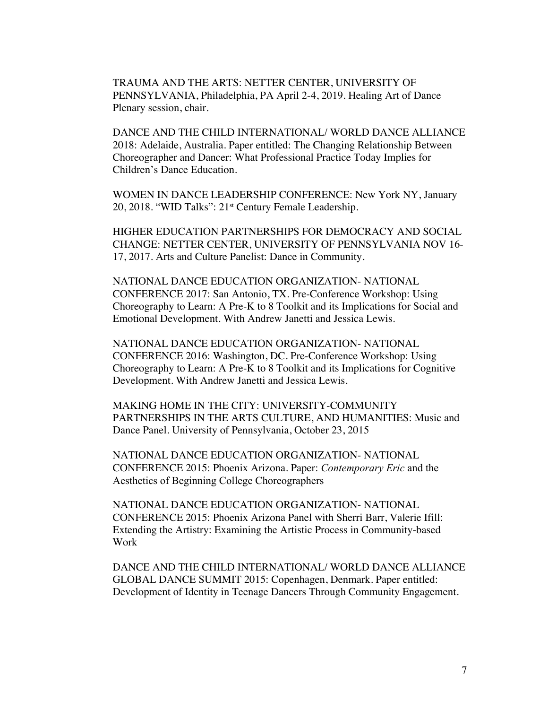TRAUMA AND THE ARTS: NETTER CENTER, UNIVERSITY OF PENNSYLVANIA, Philadelphia, PA April 2-4, 2019. Healing Art of Dance Plenary session, chair.

DANCE AND THE CHILD INTERNATIONAL/ WORLD DANCE ALLIANCE 2018: Adelaide, Australia. Paper entitled: The Changing Relationship Between Choreographer and Dancer: What Professional Practice Today Implies for Children's Dance Education.

WOMEN IN DANCE LEADERSHIP CONFERENCE: New York NY, January 20, 2018. "WID Talks": 21<sup>st</sup> Century Female Leadership.

HIGHER EDUCATION PARTNERSHIPS FOR DEMOCRACY AND SOCIAL CHANGE: NETTER CENTER, UNIVERSITY OF PENNSYLVANIA NOV 16- 17, 2017. Arts and Culture Panelist: Dance in Community.

NATIONAL DANCE EDUCATION ORGANIZATION- NATIONAL CONFERENCE 2017: San Antonio, TX. Pre-Conference Workshop: Using Choreography to Learn: A Pre-K to 8 Toolkit and its Implications for Social and Emotional Development. With Andrew Janetti and Jessica Lewis.

NATIONAL DANCE EDUCATION ORGANIZATION- NATIONAL CONFERENCE 2016: Washington, DC. Pre-Conference Workshop: Using Choreography to Learn: A Pre-K to 8 Toolkit and its Implications for Cognitive Development. With Andrew Janetti and Jessica Lewis.

MAKING HOME IN THE CITY: UNIVERSITY-COMMUNITY PARTNERSHIPS IN THE ARTS CULTURE, AND HUMANITIES: Music and Dance Panel. University of Pennsylvania, October 23, 2015

NATIONAL DANCE EDUCATION ORGANIZATION- NATIONAL CONFERENCE 2015: Phoenix Arizona. Paper: *Contemporary Eric* and the Aesthetics of Beginning College Choreographers

NATIONAL DANCE EDUCATION ORGANIZATION- NATIONAL CONFERENCE 2015: Phoenix Arizona Panel with Sherri Barr, Valerie Ifill: Extending the Artistry: Examining the Artistic Process in Community-based Work

DANCE AND THE CHILD INTERNATIONAL/ WORLD DANCE ALLIANCE GLOBAL DANCE SUMMIT 2015: Copenhagen, Denmark. Paper entitled: Development of Identity in Teenage Dancers Through Community Engagement.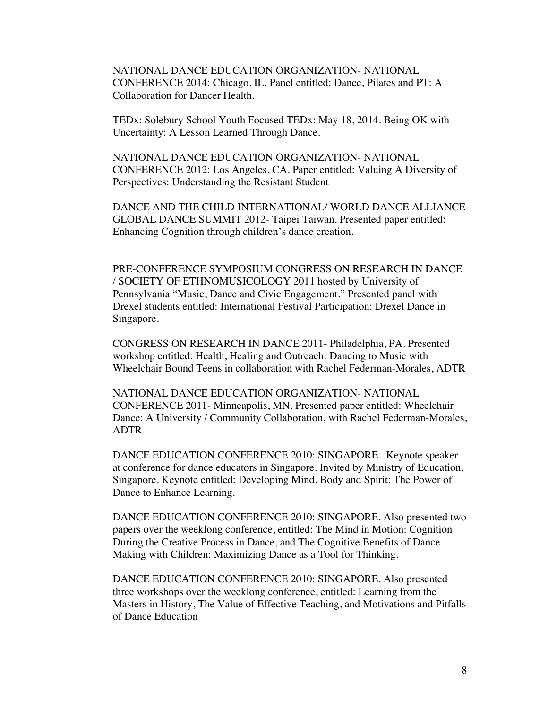NATIONAL DANCE EDUCATION ORGANIZATION- NATIONAL CONFERENCE 2014: Chicago, IL. Panel entitled: Dance, Pilates and PT: A Collaboration for Dancer Health.

TEDx: Solebury School Youth Focused TEDx: May 18, 2014. Being OK with Uncertainty: A Lesson Learned Through Dance.

NATIONAL DANCE EDUCATION ORGANIZATION- NATIONAL CONFERENCE 2012: Los Angeles, CA. Paper entitled: Valuing A Diversity of Perspectives: Understanding the Resistant Student

DANCE AND THE CHILD INTERNATIONAL/ WORLD DANCE ALLIANCE GLOBAL DANCE SUMMIT 2012- Taipei Taiwan. Presented paper entitled: Enhancing Cognition through children's dance creation.

PRE-CONFERENCE SYMPOSIUM CONGRESS ON RESEARCH IN DANCE / SOCIETY OF ETHNOMUSICOLOGY 2011 hosted by University of Pennsylvania "Music, Dance and Civic Engagement." Presented panel with Drexel students entitled: International Festival Participation: Drexel Dance in Singapore.

CONGRESS ON RESEARCH IN DANCE 2011- Philadelphia, PA. Presented workshop entitled: Health, Healing and Outreach: Dancing to Music with Wheelchair Bound Teens in collaboration with Rachel Federman-Morales, ADTR

NATIONAL DANCE EDUCATION ORGANIZATION- NATIONAL CONFERENCE 2011- Minneapolis, MN. Presented paper entitled: Wheelchair Dance: A University / Community Collaboration, with Rachel Federman-Morales, ADTR

DANCE EDUCATION CONFERENCE 2010: SINGAPORE. Keynote speaker at conference for dance educators in Singapore. Invited by Ministry of Education, Singapore. Keynote entitled: Developing Mind, Body and Spirit: The Power of Dance to Enhance Learning.

DANCE EDUCATION CONFERENCE 2010: SINGAPORE. Also presented two papers over the weeklong conference, entitled: The Mind in Motion: Cognition During the Creative Process in Dance, and The Cognitive Benefits of Dance Making with Children: Maximizing Dance as a Tool for Thinking.

DANCE EDUCATION CONFERENCE 2010: SINGAPORE. Also presented three workshops over the weeklong conference, entitled: Learning from the Masters in History, The Value of Effective Teaching, and Motivations and Pitfalls of Dance Education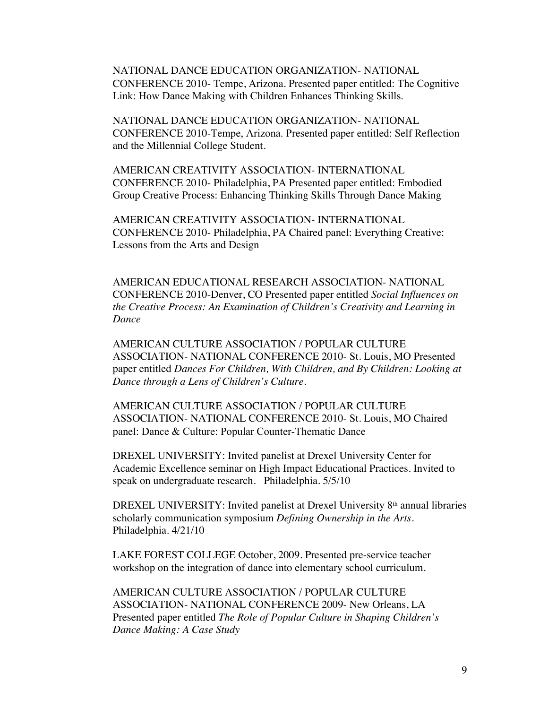NATIONAL DANCE EDUCATION ORGANIZATION- NATIONAL CONFERENCE 2010- Tempe, Arizona. Presented paper entitled: The Cognitive Link: How Dance Making with Children Enhances Thinking Skills.

NATIONAL DANCE EDUCATION ORGANIZATION- NATIONAL CONFERENCE 2010-Tempe, Arizona. Presented paper entitled: Self Reflection and the Millennial College Student.

AMERICAN CREATIVITY ASSOCIATION- INTERNATIONAL CONFERENCE 2010- Philadelphia, PA Presented paper entitled: Embodied Group Creative Process: Enhancing Thinking Skills Through Dance Making

AMERICAN CREATIVITY ASSOCIATION- INTERNATIONAL CONFERENCE 2010- Philadelphia, PA Chaired panel: Everything Creative: Lessons from the Arts and Design

AMERICAN EDUCATIONAL RESEARCH ASSOCIATION- NATIONAL CONFERENCE 2010-Denver, CO Presented paper entitled *Social Influences on the Creative Process: An Examination of Children's Creativity and Learning in Dance* 

AMERICAN CULTURE ASSOCIATION / POPULAR CULTURE ASSOCIATION- NATIONAL CONFERENCE 2010- St. Louis, MO Presented paper entitled *Dances For Children, With Children, and By Children: Looking at Dance through a Lens of Children's Culture.*

AMERICAN CULTURE ASSOCIATION / POPULAR CULTURE ASSOCIATION- NATIONAL CONFERENCE 2010- St. Louis, MO Chaired panel: Dance & Culture: Popular Counter-Thematic Dance

DREXEL UNIVERSITY: Invited panelist at Drexel University Center for Academic Excellence seminar on High Impact Educational Practices. Invited to speak on undergraduate research. Philadelphia. 5/5/10

DREXEL UNIVERSITY: Invited panelist at Drexel University 8<sup>th</sup> annual libraries scholarly communication symposium *Defining Ownership in the Arts*. Philadelphia. 4/21/10

LAKE FOREST COLLEGE October, 2009. Presented pre-service teacher workshop on the integration of dance into elementary school curriculum.

AMERICAN CULTURE ASSOCIATION / POPULAR CULTURE ASSOCIATION- NATIONAL CONFERENCE 2009- New Orleans, LA Presented paper entitled *The Role of Popular Culture in Shaping Children's Dance Making: A Case Study*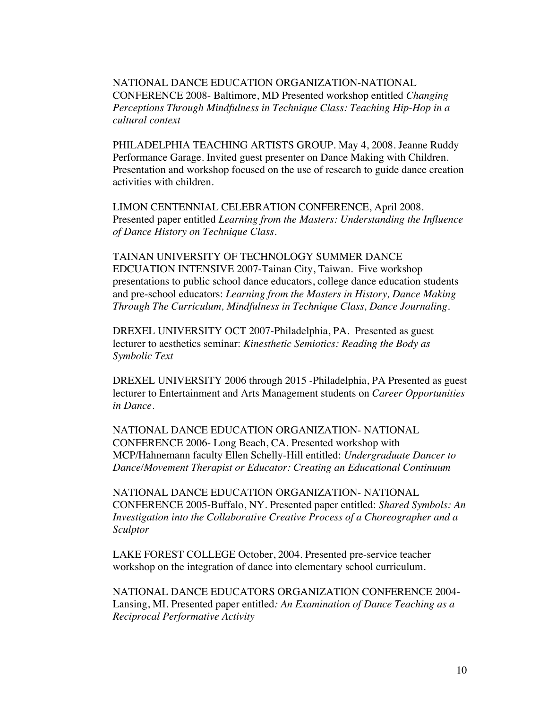NATIONAL DANCE EDUCATION ORGANIZATION-NATIONAL CONFERENCE 2008- Baltimore, MD Presented workshop entitled *Changing Perceptions Through Mindfulness in Technique Class: Teaching Hip-Hop in a cultural context*

PHILADELPHIA TEACHING ARTISTS GROUP. May 4, 2008. Jeanne Ruddy Performance Garage. Invited guest presenter on Dance Making with Children. Presentation and workshop focused on the use of research to guide dance creation activities with children.

LIMON CENTENNIAL CELEBRATION CONFERENCE, April 2008. Presented paper entitled *Learning from the Masters: Understanding the Influence of Dance History on Technique Class.*

TAINAN UNIVERSITY OF TECHNOLOGY SUMMER DANCE EDCUATION INTENSIVE 2007-Tainan City, Taiwan. Five workshop presentations to public school dance educators, college dance education students and pre-school educators: *Learning from the Masters in History, Dance Making Through The Curriculum, Mindfulness in Technique Class, Dance Journaling.*

DREXEL UNIVERSITY OCT 2007-Philadelphia, PA. Presented as guest lecturer to aesthetics seminar: *Kinesthetic Semiotics: Reading the Body as Symbolic Text*

DREXEL UNIVERSITY 2006 through 2015 -Philadelphia, PA Presented as guest lecturer to Entertainment and Arts Management students on *Career Opportunities in Dance.*

NATIONAL DANCE EDUCATION ORGANIZATION- NATIONAL CONFERENCE 2006- Long Beach, CA. Presented workshop with MCP/Hahnemann faculty Ellen Schelly-Hill entitled: *Undergraduate Dancer to Dance/Movement Therapist or Educator: Creating an Educational Continuum*

NATIONAL DANCE EDUCATION ORGANIZATION- NATIONAL CONFERENCE 2005-Buffalo, NY. Presented paper entitled: *Shared Symbols: An Investigation into the Collaborative Creative Process of a Choreographer and a Sculptor*

LAKE FOREST COLLEGE October, 2004. Presented pre-service teacher workshop on the integration of dance into elementary school curriculum.

NATIONAL DANCE EDUCATORS ORGANIZATION CONFERENCE 2004- Lansing, MI. Presented paper entitled*: An Examination of Dance Teaching as a Reciprocal Performative Activity*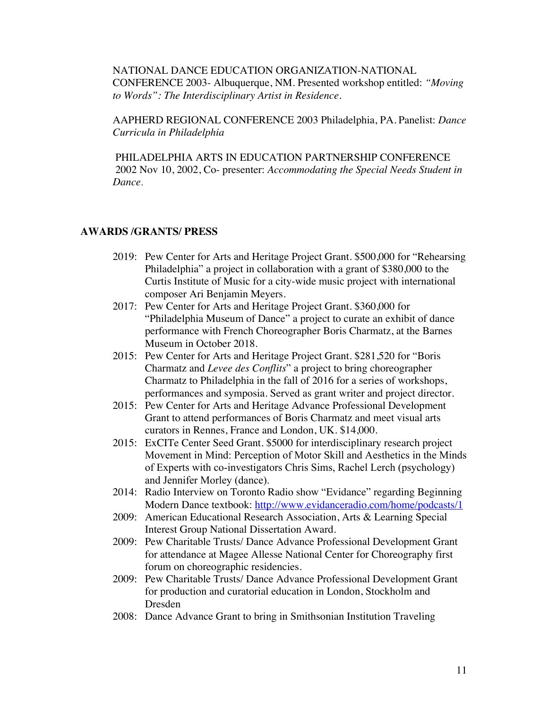NATIONAL DANCE EDUCATION ORGANIZATION-NATIONAL CONFERENCE 2003- Albuquerque, NM. Presented workshop entitled: *"Moving to Words": The Interdisciplinary Artist in Residence.*

AAPHERD REGIONAL CONFERENCE 2003 Philadelphia, PA. Panelist: *Dance Curricula in Philadelphia*

 PHILADELPHIA ARTS IN EDUCATION PARTNERSHIP CONFERENCE 2002 Nov 10, 2002, Co- presenter: *Accommodating the Special Needs Student in Dance*.

# **AWARDS /GRANTS/ PRESS**

- 2019: Pew Center for Arts and Heritage Project Grant. \$500,000 for "Rehearsing Philadelphia" a project in collaboration with a grant of \$380,000 to the Curtis Institute of Music for a city-wide music project with international composer Ari Benjamin Meyers.
- 2017: Pew Center for Arts and Heritage Project Grant. \$360,000 for "Philadelphia Museum of Dance" a project to curate an exhibit of dance performance with French Choreographer Boris Charmatz, at the Barnes Museum in October 2018.
- 2015: Pew Center for Arts and Heritage Project Grant. \$281,520 for "Boris Charmatz and *Levee des Conflits*" a project to bring choreographer Charmatz to Philadelphia in the fall of 2016 for a series of workshops, performances and symposia. Served as grant writer and project director.
- 2015: Pew Center for Arts and Heritage Advance Professional Development Grant to attend performances of Boris Charmatz and meet visual arts curators in Rennes, France and London, UK. \$14,000.
- 2015: ExCITe Center Seed Grant. \$5000 for interdisciplinary research project Movement in Mind: Perception of Motor Skill and Aesthetics in the Minds of Experts with co-investigators Chris Sims, Rachel Lerch (psychology) and Jennifer Morley (dance).
- 2014: Radio Interview on Toronto Radio show "Evidance" regarding Beginning Modern Dance textbook: http://www.evidanceradio.com/home/podcasts/1
- 2009: American Educational Research Association, Arts & Learning Special Interest Group National Dissertation Award.
- 2009: Pew Charitable Trusts/ Dance Advance Professional Development Grant for attendance at Magee Allesse National Center for Choreography first forum on choreographic residencies.
- 2009: Pew Charitable Trusts/ Dance Advance Professional Development Grant for production and curatorial education in London, Stockholm and Dresden
- 2008: Dance Advance Grant to bring in Smithsonian Institution Traveling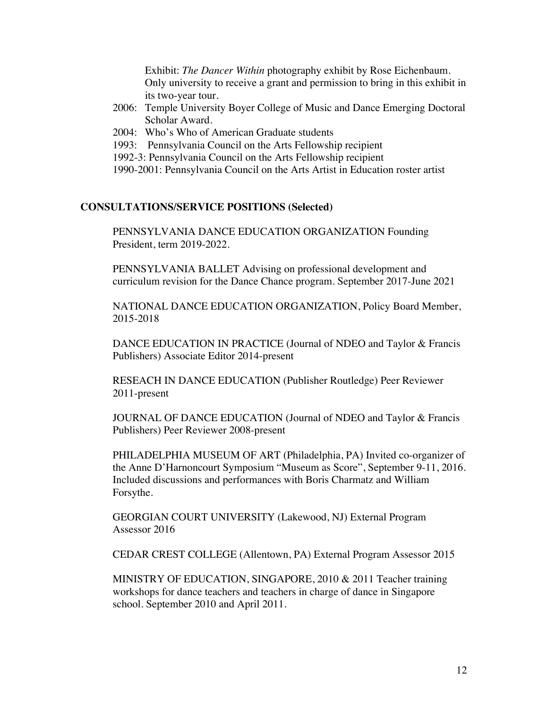Exhibit: *The Dancer Within* photography exhibit by Rose Eichenbaum. Only university to receive a grant and permission to bring in this exhibit in its two-year tour.

- 2006: Temple University Boyer College of Music and Dance Emerging Doctoral Scholar Award.
- 2004: Who's Who of American Graduate students
- 1993: Pennsylvania Council on the Arts Fellowship recipient
- 1992-3: Pennsylvania Council on the Arts Fellowship recipient
- 1990-2001: Pennsylvania Council on the Arts Artist in Education roster artist

## **CONSULTATIONS/SERVICE POSITIONS (Selected)**

PENNSYLVANIA DANCE EDUCATION ORGANIZATION Founding President, term 2019-2022.

PENNSYLVANIA BALLET Advising on professional development and curriculum revision for the Dance Chance program. September 2017-June 2021

NATIONAL DANCE EDUCATION ORGANIZATION, Policy Board Member, 2015-2018

DANCE EDUCATION IN PRACTICE (Journal of NDEO and Taylor & Francis Publishers) Associate Editor 2014-present

RESEACH IN DANCE EDUCATION (Publisher Routledge) Peer Reviewer 2011-present

JOURNAL OF DANCE EDUCATION (Journal of NDEO and Taylor & Francis Publishers) Peer Reviewer 2008-present

PHILADELPHIA MUSEUM OF ART (Philadelphia, PA) Invited co-organizer of the Anne D'Harnoncourt Symposium "Museum as Score", September 9-11, 2016. Included discussions and performances with Boris Charmatz and William Forsythe.

GEORGIAN COURT UNIVERSITY (Lakewood, NJ) External Program Assessor 2016

CEDAR CREST COLLEGE (Allentown, PA) External Program Assessor 2015

MINISTRY OF EDUCATION, SINGAPORE, 2010 & 2011 Teacher training workshops for dance teachers and teachers in charge of dance in Singapore school. September 2010 and April 2011.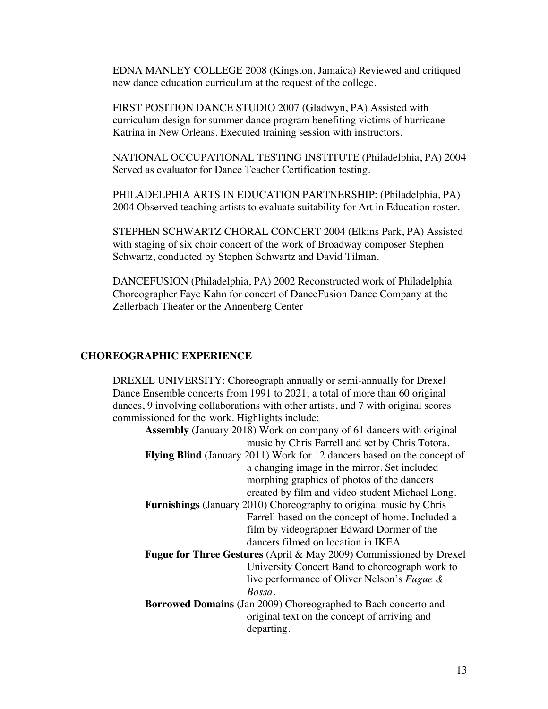EDNA MANLEY COLLEGE 2008 (Kingston, Jamaica) Reviewed and critiqued new dance education curriculum at the request of the college.

FIRST POSITION DANCE STUDIO 2007 (Gladwyn, PA) Assisted with curriculum design for summer dance program benefiting victims of hurricane Katrina in New Orleans. Executed training session with instructors.

NATIONAL OCCUPATIONAL TESTING INSTITUTE (Philadelphia, PA) 2004 Served as evaluator for Dance Teacher Certification testing.

PHILADELPHIA ARTS IN EDUCATION PARTNERSHIP: (Philadelphia, PA) 2004 Observed teaching artists to evaluate suitability for Art in Education roster.

STEPHEN SCHWARTZ CHORAL CONCERT 2004 (Elkins Park, PA) Assisted with staging of six choir concert of the work of Broadway composer Stephen Schwartz, conducted by Stephen Schwartz and David Tilman.

DANCEFUSION (Philadelphia, PA) 2002 Reconstructed work of Philadelphia Choreographer Faye Kahn for concert of DanceFusion Dance Company at the Zellerbach Theater or the Annenberg Center

## **CHOREOGRAPHIC EXPERIENCE**

DREXEL UNIVERSITY: Choreograph annually or semi-annually for Drexel Dance Ensemble concerts from 1991 to 2021; a total of more than 60 original dances, 9 involving collaborations with other artists, and 7 with original scores commissioned for the work. Highlights include:

| <b>Assembly</b> (January 2018) Work on company of 61 dancers with original     |  |
|--------------------------------------------------------------------------------|--|
| music by Chris Farrell and set by Chris Totora.                                |  |
| <b>Flying Blind</b> (January 2011) Work for 12 dancers based on the concept of |  |
| a changing image in the mirror. Set included                                   |  |
| morphing graphics of photos of the dancers                                     |  |
| created by film and video student Michael Long.                                |  |
| <b>Furnishings</b> (January 2010) Choreography to original music by Chris      |  |
| Farrell based on the concept of home. Included a                               |  |
| film by videographer Edward Dormer of the                                      |  |
| dancers filmed on location in IKEA                                             |  |
| <b>Fugue for Three Gestures</b> (April & May 2009) Commissioned by Drexel      |  |
| University Concert Band to choreograph work to                                 |  |
| live performance of Oliver Nelson's Fugue &                                    |  |
| Bossa.                                                                         |  |
| Borrowed Domains (Jan 2009) Choreographed to Bach concerto and                 |  |
| original text on the concept of arriving and                                   |  |
| departing.                                                                     |  |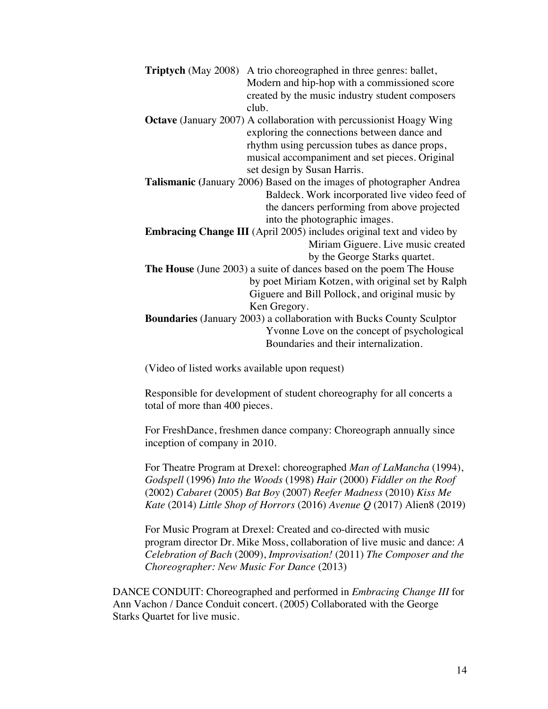| <b>Triptych</b> (May 2008)                                                   | A trio choreographed in three genres: ballet,                               |
|------------------------------------------------------------------------------|-----------------------------------------------------------------------------|
|                                                                              | Modern and hip-hop with a commissioned score                                |
|                                                                              | created by the music industry student composers                             |
|                                                                              | club.                                                                       |
|                                                                              | <b>Octave</b> (January 2007) A collaboration with percussionist Hoagy Wing  |
|                                                                              | exploring the connections between dance and                                 |
|                                                                              |                                                                             |
|                                                                              | rhythm using percussion tubes as dance props,                               |
|                                                                              | musical accompaniment and set pieces. Original                              |
|                                                                              | set design by Susan Harris.                                                 |
|                                                                              | Talismanic (January 2006) Based on the images of photographer Andrea        |
|                                                                              | Baldeck. Work incorporated live video feed of                               |
|                                                                              | the dancers performing from above projected                                 |
|                                                                              | into the photographic images.                                               |
| <b>Embracing Change III</b> (April 2005) includes original text and video by |                                                                             |
| Miriam Giguere. Live music created                                           |                                                                             |
|                                                                              |                                                                             |
|                                                                              | by the George Starks quartet.                                               |
|                                                                              | <b>The House</b> (June 2003) a suite of dances based on the poem The House  |
|                                                                              | by poet Miriam Kotzen, with original set by Ralph                           |
|                                                                              | Giguere and Bill Pollock, and original music by                             |
|                                                                              | Ken Gregory.                                                                |
|                                                                              | <b>Boundaries</b> (January 2003) a collaboration with Bucks County Sculptor |
|                                                                              | Yvonne Love on the concept of psychological                                 |
|                                                                              | Boundaries and their internalization.                                       |

(Video of listed works available upon request)

Responsible for development of student choreography for all concerts a total of more than 400 pieces.

For FreshDance, freshmen dance company: Choreograph annually since inception of company in 2010.

For Theatre Program at Drexel: choreographed *Man of LaMancha* (1994), *Godspell* (1996) *Into the Woods* (1998) *Hair* (2000) *Fiddler on the Roof* (2002) *Cabaret* (2005) *Bat Boy* (2007) *Reefer Madness* (2010) *Kiss Me Kate* (2014) *Little Shop of Horrors* (2016) *Avenue Q* (2017) Alien8 (2019)

For Music Program at Drexel: Created and co-directed with music program director Dr. Mike Moss, collaboration of live music and dance: *A Celebration of Bach* (2009), *Improvisation!* (2011) *The Composer and the Choreographer: New Music For Dance* (2013)

DANCE CONDUIT: Choreographed and performed in *Embracing Change III* for Ann Vachon / Dance Conduit concert. (2005) Collaborated with the George Starks Quartet for live music.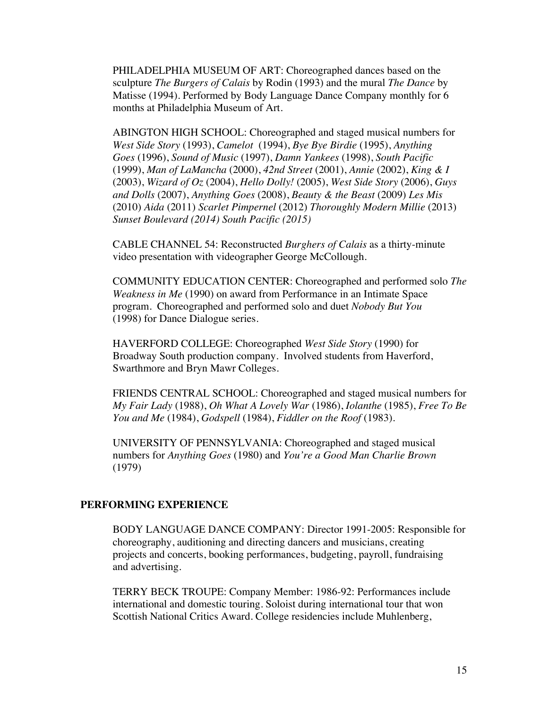PHILADELPHIA MUSEUM OF ART: Choreographed dances based on the sculpture *The Burgers of Calais* by Rodin (1993) and the mural *The Dance* by Matisse (1994). Performed by Body Language Dance Company monthly for 6 months at Philadelphia Museum of Art.

ABINGTON HIGH SCHOOL: Choreographed and staged musical numbers for *West Side Story* (1993), *Camelot* (1994), *Bye Bye Birdie* (1995), *Anything Goes* (1996), *Sound of Music* (1997), *Damn Yankees* (1998), *South Pacific*  (1999), *Man of LaMancha* (2000), *42nd Street* (2001), *Annie* (2002), *King & I* (2003), *Wizard of Oz* (2004), *Hello Dolly!* (2005), *West Side Story* (2006), *Guys and Dolls* (2007), *Anything Goes* (2008), *Beauty & the Beast* (2009) *Les Mis* (2010) *Aida* (2011) *Scarlet Pimpernel* (2012) *Thoroughly Modern Millie* (2013) *Sunset Boulevard (2014) South Pacific (2015)*

CABLE CHANNEL 54: Reconstructed *Burghers of Calais* as a thirty-minute video presentation with videographer George McCollough.

COMMUNITY EDUCATION CENTER: Choreographed and performed solo *The Weakness in Me* (1990) on award from Performance in an Intimate Space program. Choreographed and performed solo and duet *Nobody But You*  (1998) for Dance Dialogue series.

HAVERFORD COLLEGE: Choreographed *West Side Story* (1990) for Broadway South production company. Involved students from Haverford, Swarthmore and Bryn Mawr Colleges.

FRIENDS CENTRAL SCHOOL: Choreographed and staged musical numbers for *My Fair Lady* (1988), *Oh What A Lovely War* (1986), *Iolanthe* (1985), *Free To Be You and Me* (1984), *Godspell* (1984), *Fiddler on the Roof* (1983).

UNIVERSITY OF PENNSYLVANIA: Choreographed and staged musical numbers for *Anything Goes* (1980) and *You're a Good Man Charlie Brown* (1979)

### **PERFORMING EXPERIENCE**

BODY LANGUAGE DANCE COMPANY: Director 1991-2005: Responsible for choreography, auditioning and directing dancers and musicians, creating projects and concerts, booking performances, budgeting, payroll, fundraising and advertising.

TERRY BECK TROUPE: Company Member: 1986-92: Performances include international and domestic touring. Soloist during international tour that won Scottish National Critics Award. College residencies include Muhlenberg,